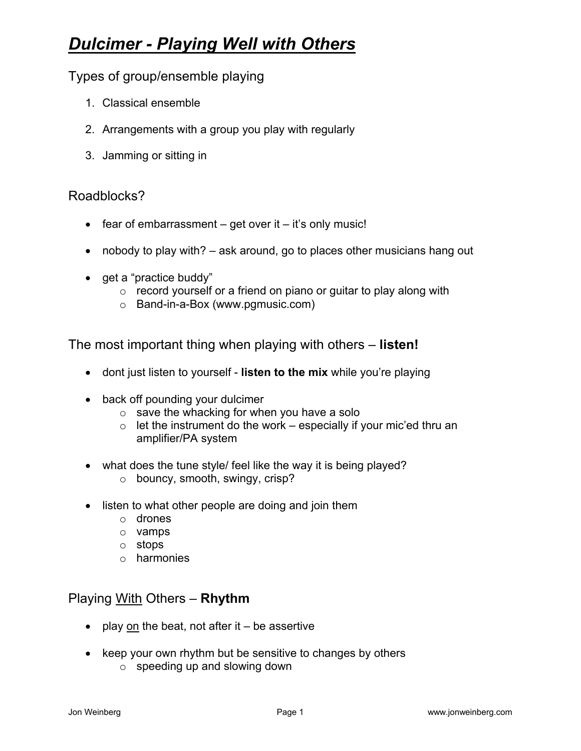## *Dulcimer - Playing Well with Others*

Types of group/ensemble playing

- 1. Classical ensemble
- 2. Arrangements with a group you play with regularly
- 3. Jamming or sitting in

## Roadblocks?

- fear of embarrassment  $-$  get over it  $-$  it's only music!
- nobody to play with? ask around, go to places other musicians hang out
- get a "practice buddy"
	- $\circ$  record yourself or a friend on piano or guitar to play along with
	- o Band-in-a-Box (www.pgmusic.com)

The most important thing when playing with others – **listen!** 

- dont just listen to yourself **listen to the mix** while you're playing
- back off pounding your dulcimer
	- $\circ$  save the whacking for when you have a solo
	- $\circ$  let the instrument do the work especially if your mic'ed thru an amplifier/PA system
- what does the tune style/ feel like the way it is being played?
	- o bouncy, smooth, swingy, crisp?
- listen to what other people are doing and join them
	- o drones
	- o vamps
	- o stops
	- o harmonies

## Playing With Others – **Rhythm**

- play on the beat, not after it  $-$  be assertive
- keep your own rhythm but be sensitive to changes by others
	- $\circ$  speeding up and slowing down